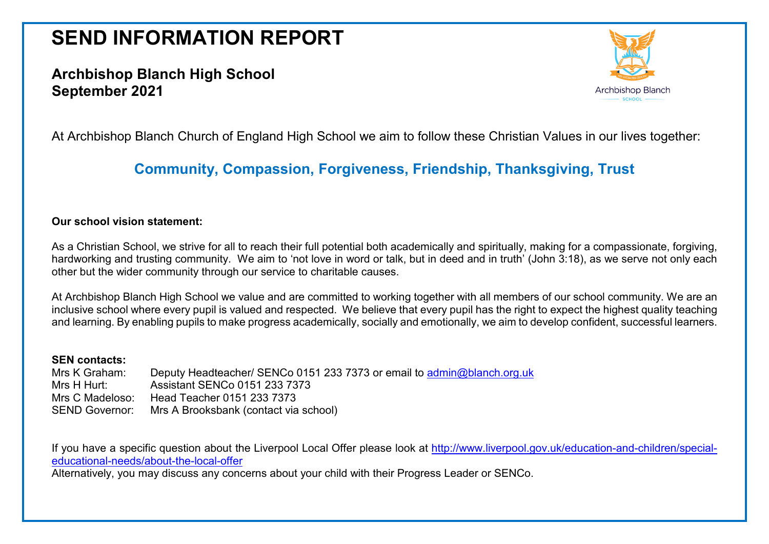# **SEND INFORMATION REPORT**

# **Archbishop Blanch High School September 2021**



At Archbishop Blanch Church of England High School we aim to follow these Christian Values in our lives together:

# **Community, Compassion, Forgiveness, Friendship, Thanksgiving, Trust**

#### **Our school vision statement:**

As a Christian School, we strive for all to reach their full potential both academically and spiritually, making for a compassionate, forgiving, hardworking and trusting community. We aim to 'not love in word or talk, but in deed and in truth' (John 3:18), as we serve not only each other but the wider community through our service to charitable causes.

At Archbishop Blanch High School we value and are committed to working together with all members of our school community. We are an inclusive school where every pupil is valued and respected. We believe that every pupil has the right to expect the highest quality teaching and learning. By enabling pupils to make progress academically, socially and emotionally, we aim to develop confident, successful learners.

#### **SEN contacts:**

Mrs K Graham: Deputy Headteacher/ SENCo 0151 233 7373 or email to [admin@blanch.org.uk](mailto:admin@blanch.org.uk) Mrs H Hurt: Assistant SENCo 0151 233 7373 Mrs C Madeloso: Head Teacher 0151 233 7373 SEND Governor: Mrs A Brooksbank (contact via school)

If you have a specific question about the Liverpool Local Offer please look at [http://www.liverpool.gov.uk/education-and-children/special](http://www.liverpool.gov.uk/education-and-children/special-educational-needs/about-the-local-offer)[educational-needs/about-the-local-offer](http://www.liverpool.gov.uk/education-and-children/special-educational-needs/about-the-local-offer)

Alternatively, you may discuss any concerns about your child with their Progress Leader or SENCo.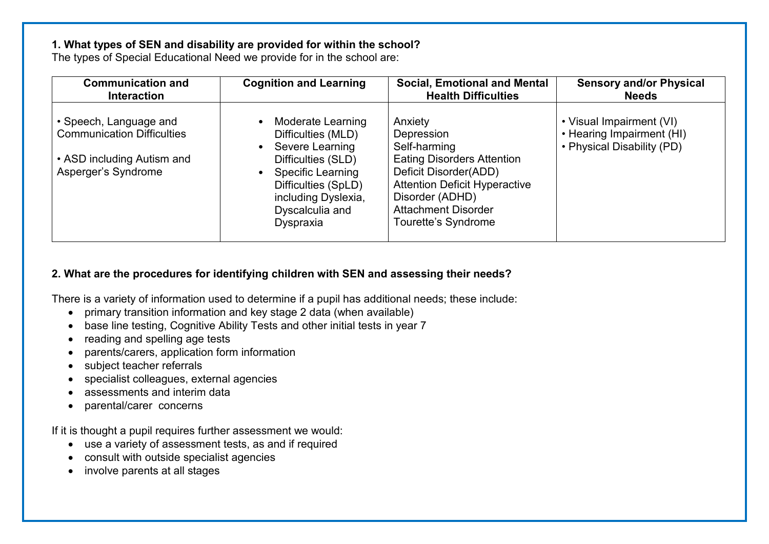#### **1. What types of SEN and disability are provided for within the school?**

The types of Special Educational Need we provide for in the school are:

| <b>Communication and</b>                                                                                         | <b>Cognition and Learning</b>                                                                                                                                                                                                     | <b>Social, Emotional and Mental</b>                                                                                                                                                                                 | <b>Sensory and/or Physical</b>                                                      |
|------------------------------------------------------------------------------------------------------------------|-----------------------------------------------------------------------------------------------------------------------------------------------------------------------------------------------------------------------------------|---------------------------------------------------------------------------------------------------------------------------------------------------------------------------------------------------------------------|-------------------------------------------------------------------------------------|
| <b>Interaction</b>                                                                                               |                                                                                                                                                                                                                                   | <b>Health Difficulties</b>                                                                                                                                                                                          | <b>Needs</b>                                                                        |
| • Speech, Language and<br><b>Communication Difficulties</b><br>• ASD including Autism and<br>Asperger's Syndrome | Moderate Learning<br>$\bullet$<br>Difficulties (MLD)<br>Severe Learning<br>$\bullet$<br>Difficulties (SLD)<br><b>Specific Learning</b><br>$\bullet$<br>Difficulties (SpLD)<br>including Dyslexia,<br>Dyscalculia and<br>Dyspraxia | Anxiety<br>Depression<br>Self-harming<br><b>Eating Disorders Attention</b><br>Deficit Disorder(ADD)<br><b>Attention Deficit Hyperactive</b><br>Disorder (ADHD)<br><b>Attachment Disorder</b><br>Tourette's Syndrome | • Visual Impairment (VI)<br>• Hearing Impairment (HI)<br>• Physical Disability (PD) |

# **2. What are the procedures for identifying children with SEN and assessing their needs?**

There is a variety of information used to determine if a pupil has additional needs; these include:

- primary transition information and key stage 2 data (when available)
- base line testing, Cognitive Ability Tests and other initial tests in year 7
- reading and spelling age tests
- parents/carers, application form information
- subject teacher referrals
- specialist colleagues, external agencies
- assessments and interim data
- parental/carer concerns

If it is thought a pupil requires further assessment we would:

- use a variety of assessment tests, as and if required
- consult with outside specialist agencies
- involve parents at all stages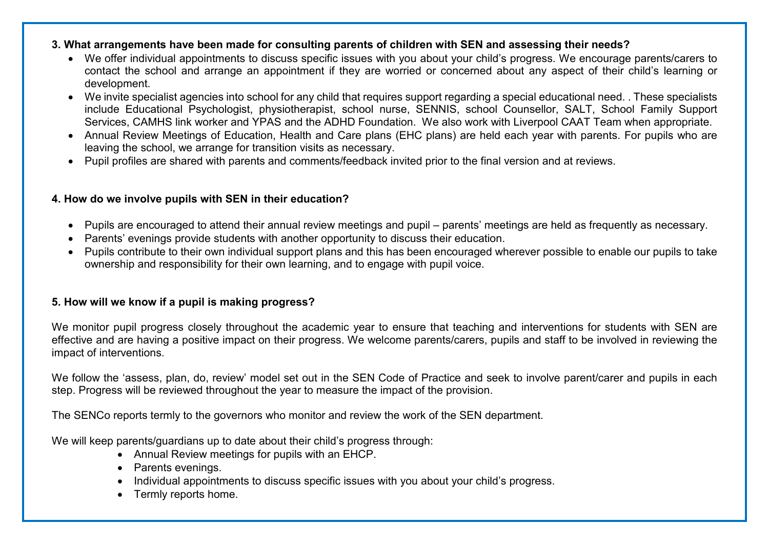#### **3. What arrangements have been made for consulting parents of children with SEN and assessing their needs?**

- We offer individual appointments to discuss specific issues with you about your child's progress. We encourage parents/carers to contact the school and arrange an appointment if they are worried or concerned about any aspect of their child's learning or development.
- We invite specialist agencies into school for any child that requires support regarding a special educational need. . These specialists include Educational Psychologist, physiotherapist, school nurse, SENNIS, school Counsellor, SALT, School Family Support Services, CAMHS link worker and YPAS and the ADHD Foundation. We also work with Liverpool CAAT Team when appropriate.
- Annual Review Meetings of Education, Health and Care plans (EHC plans) are held each year with parents. For pupils who are leaving the school, we arrange for transition visits as necessary.
- Pupil profiles are shared with parents and comments/feedback invited prior to the final version and at reviews.

# **4. How do we involve pupils with SEN in their education?**

- Pupils are encouraged to attend their annual review meetings and pupil parents' meetings are held as frequently as necessary.
- Parents' evenings provide students with another opportunity to discuss their education.
- Pupils contribute to their own individual support plans and this has been encouraged wherever possible to enable our pupils to take ownership and responsibility for their own learning, and to engage with pupil voice.

# **5. How will we know if a pupil is making progress?**

We monitor pupil progress closely throughout the academic year to ensure that teaching and interventions for students with SEN are effective and are having a positive impact on their progress. We welcome parents/carers, pupils and staff to be involved in reviewing the impact of interventions.

We follow the 'assess, plan, do, review' model set out in the SEN Code of Practice and seek to involve parent/carer and pupils in each step. Progress will be reviewed throughout the year to measure the impact of the provision.

The SENCo reports termly to the governors who monitor and review the work of the SEN department.

We will keep parents/guardians up to date about their child's progress through:

- Annual Review meetings for pupils with an EHCP.
- Parents evenings.
- Individual appointments to discuss specific issues with you about your child's progress.
- Termly reports home.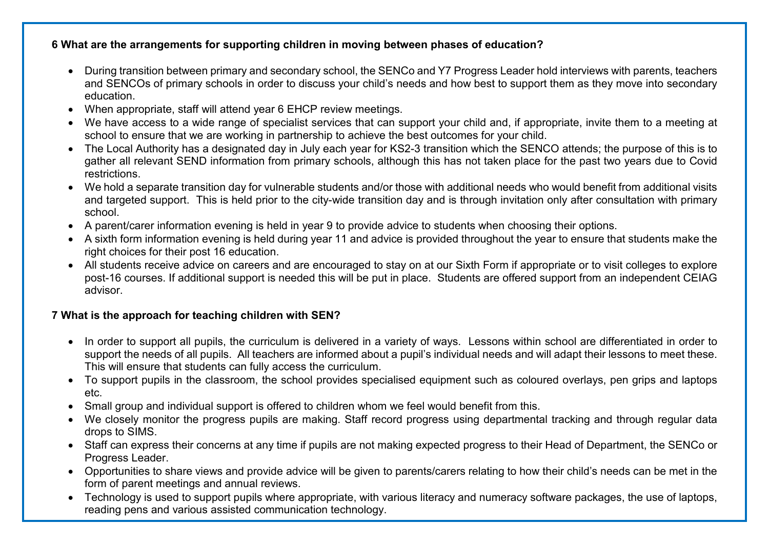# **6 What are the arrangements for supporting children in moving between phases of education?**

- During transition between primary and secondary school, the SENCo and Y7 Progress Leader hold interviews with parents, teachers and SENCOs of primary schools in order to discuss your child's needs and how best to support them as they move into secondary education.
- When appropriate, staff will attend year 6 EHCP review meetings.
- We have access to a wide range of specialist services that can support your child and, if appropriate, invite them to a meeting at school to ensure that we are working in partnership to achieve the best outcomes for your child.
- The Local Authority has a designated day in July each year for KS2-3 transition which the SENCO attends; the purpose of this is to gather all relevant SEND information from primary schools, although this has not taken place for the past two years due to Covid restrictions.
- We hold a separate transition day for vulnerable students and/or those with additional needs who would benefit from additional visits and targeted support. This is held prior to the city-wide transition day and is through invitation only after consultation with primary school.
- A parent/carer information evening is held in year 9 to provide advice to students when choosing their options.
- A sixth form information evening is held during year 11 and advice is provided throughout the year to ensure that students make the right choices for their post 16 education.
- All students receive advice on careers and are encouraged to stay on at our Sixth Form if appropriate or to visit colleges to explore post-16 courses. If additional support is needed this will be put in place. Students are offered support from an independent CEIAG advisor.

# **7 What is the approach for teaching children with SEN?**

- In order to support all pupils, the curriculum is delivered in a variety of ways. Lessons within school are differentiated in order to support the needs of all pupils. All teachers are informed about a pupil's individual needs and will adapt their lessons to meet these. This will ensure that students can fully access the curriculum.
- To support pupils in the classroom, the school provides specialised equipment such as coloured overlays, pen grips and laptops etc.
- Small group and individual support is offered to children whom we feel would benefit from this.
- We closely monitor the progress pupils are making. Staff record progress using departmental tracking and through regular data drops to SIMS.
- Staff can express their concerns at any time if pupils are not making expected progress to their Head of Department, the SENCo or Progress Leader.
- Opportunities to share views and provide advice will be given to parents/carers relating to how their child's needs can be met in the form of parent meetings and annual reviews.
- Technology is used to support pupils where appropriate, with various literacy and numeracy software packages, the use of laptops, reading pens and various assisted communication technology.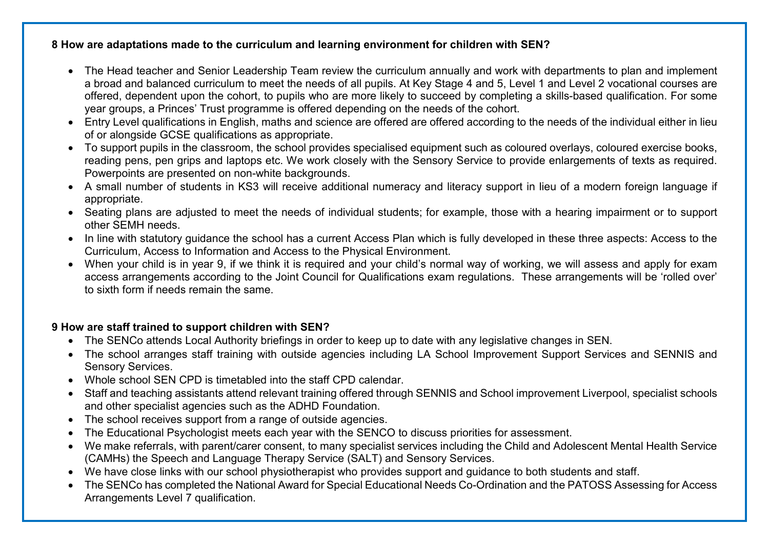### **8 How are adaptations made to the curriculum and learning environment for children with SEN?**

- The Head teacher and Senior Leadership Team review the curriculum annually and work with departments to plan and implement a broad and balanced curriculum to meet the needs of all pupils. At Key Stage 4 and 5, Level 1 and Level 2 vocational courses are offered, dependent upon the cohort, to pupils who are more likely to succeed by completing a skills-based qualification. For some year groups, a Princes' Trust programme is offered depending on the needs of the cohort.
- Entry Level qualifications in English, maths and science are offered are offered according to the needs of the individual either in lieu of or alongside GCSE qualifications as appropriate.
- To support pupils in the classroom, the school provides specialised equipment such as coloured overlays, coloured exercise books, reading pens, pen grips and laptops etc. We work closely with the Sensory Service to provide enlargements of texts as required. Powerpoints are presented on non-white backgrounds.
- A small number of students in KS3 will receive additional numeracy and literacy support in lieu of a modern foreign language if appropriate.
- Seating plans are adjusted to meet the needs of individual students; for example, those with a hearing impairment or to support other SEMH needs.
- In line with statutory guidance the school has a current Access Plan which is fully developed in these three aspects: Access to the Curriculum, Access to Information and Access to the Physical Environment.
- When your child is in year 9, if we think it is required and your child's normal way of working, we will assess and apply for exam access arrangements according to the Joint Council for Qualifications exam regulations. These arrangements will be 'rolled over' to sixth form if needs remain the same.

### **9 How are staff trained to support children with SEN?**

- The SENCo attends Local Authority briefings in order to keep up to date with any legislative changes in SEN.
- The school arranges staff training with outside agencies including LA School Improvement Support Services and SENNIS and Sensory Services.
- Whole school SEN CPD is timetabled into the staff CPD calendar.
- Staff and teaching assistants attend relevant training offered through SENNIS and School improvement Liverpool, specialist schools and other specialist agencies such as the ADHD Foundation.
- The school receives support from a range of outside agencies.
- The Educational Psychologist meets each year with the SENCO to discuss priorities for assessment.
- We make referrals, with parent/carer consent, to many specialist services including the Child and Adolescent Mental Health Service (CAMHs) the Speech and Language Therapy Service (SALT) and Sensory Services.
- We have close links with our school physiotherapist who provides support and guidance to both students and staff.
- The SENCo has completed the National Award for Special Educational Needs Co-Ordination and the PATOSS Assessing for Access Arrangements Level 7 qualification.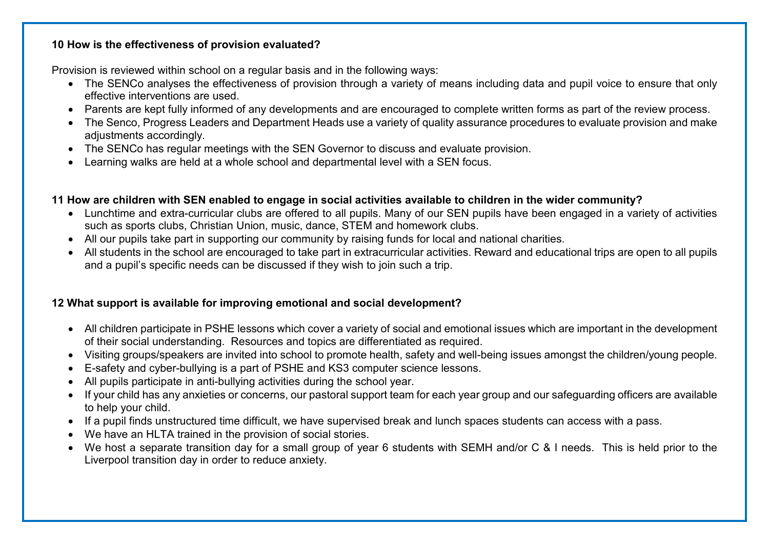#### **10 How is the effectiveness of provision evaluated?**

Provision is reviewed within school on a regular basis and in the following ways:

- The SENCo analyses the effectiveness of provision through a variety of means including data and pupil voice to ensure that only effective interventions are used.
- Parents are kept fully informed of any developments and are encouraged to complete written forms as part of the review process.
- The Senco, Progress Leaders and Department Heads use a variety of quality assurance procedures to evaluate provision and make adjustments accordingly.
- The SENCo has regular meetings with the SEN Governor to discuss and evaluate provision.
- Learning walks are held at a whole school and departmental level with a SEN focus.

# **11 How are children with SEN enabled to engage in social activities available to children in the wider community?**

- Lunchtime and extra-curricular clubs are offered to all pupils. Many of our SEN pupils have been engaged in a variety of activities such as sports clubs, Christian Union, music, dance, STEM and homework clubs.
- All our pupils take part in supporting our community by raising funds for local and national charities.
- All students in the school are encouraged to take part in extracurricular activities. Reward and educational trips are open to all pupils and a pupil's specific needs can be discussed if they wish to join such a trip.

# **12 What support is available for improving emotional and social development?**

- All children participate in PSHE lessons which cover a variety of social and emotional issues which are important in the development of their social understanding. Resources and topics are differentiated as required.
- Visiting groups/speakers are invited into school to promote health, safety and well-being issues amongst the children/young people.
- E-safety and cyber-bullying is a part of PSHE and KS3 computer science lessons.
- All pupils participate in anti-bullying activities during the school year.
- If your child has any anxieties or concerns, our pastoral support team for each year group and our safeguarding officers are available to help your child.
- If a pupil finds unstructured time difficult, we have supervised break and lunch spaces students can access with a pass.
- We have an HLTA trained in the provision of social stories.
- We host a separate transition day for a small group of year 6 students with SEMH and/or C & I needs. This is held prior to the Liverpool transition day in order to reduce anxiety.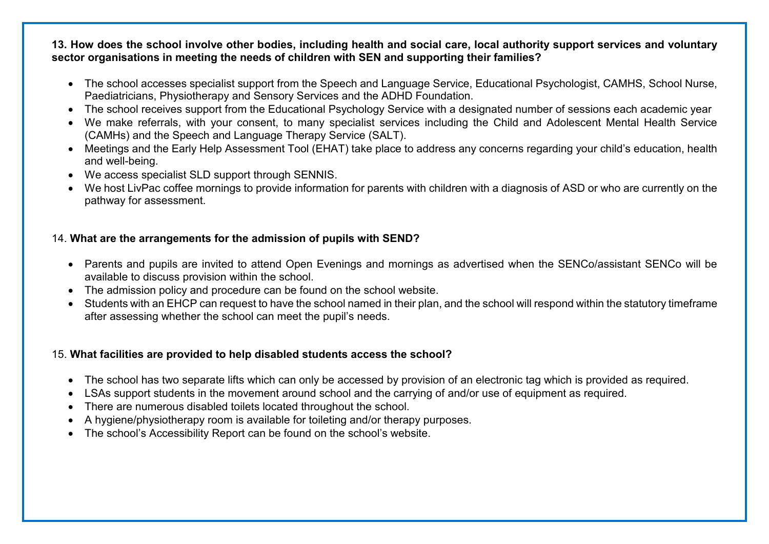**13. How does the school involve other bodies, including health and social care, local authority support services and voluntary sector organisations in meeting the needs of children with SEN and supporting their families?** 

- The school accesses specialist support from the Speech and Language Service, Educational Psychologist, CAMHS, School Nurse, Paediatricians, Physiotherapy and Sensory Services and the ADHD Foundation.
- The school receives support from the Educational Psychology Service with a designated number of sessions each academic year
- We make referrals, with your consent, to many specialist services including the Child and Adolescent Mental Health Service (CAMHs) and the Speech and Language Therapy Service (SALT).
- Meetings and the Early Help Assessment Tool (EHAT) take place to address any concerns regarding your child's education, health and well-being.
- We access specialist SLD support through SENNIS.
- We host LivPac coffee mornings to provide information for parents with children with a diagnosis of ASD or who are currently on the pathway for assessment.

## 14. **What are the arrangements for the admission of pupils with SEND?**

- Parents and pupils are invited to attend Open Evenings and mornings as advertised when the SENCo/assistant SENCo will be available to discuss provision within the school.
- The admission policy and procedure can be found on the school website.
- Students with an EHCP can request to have the school named in their plan, and the school will respond within the statutory timeframe after assessing whether the school can meet the pupil's needs.

### 15. **What facilities are provided to help disabled students access the school?**

- The school has two separate lifts which can only be accessed by provision of an electronic tag which is provided as required.
- LSAs support students in the movement around school and the carrying of and/or use of equipment as required.
- There are numerous disabled toilets located throughout the school.
- A hygiene/physiotherapy room is available for toileting and/or therapy purposes.
- The school's Accessibility Report can be found on the school's website.